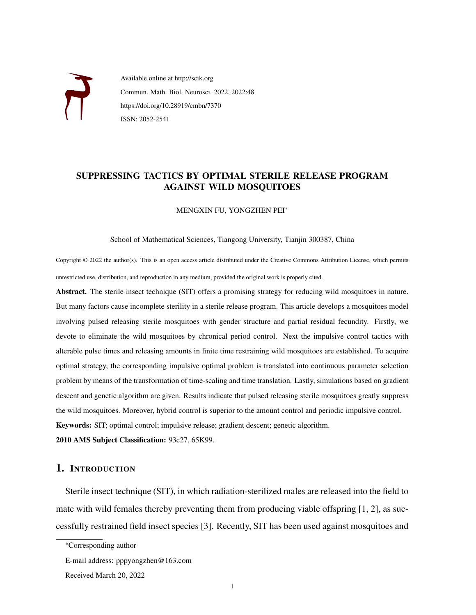

Available online at http://scik.org Commun. Math. Biol. Neurosci. 2022, 2022:48 https://doi.org/10.28919/cmbn/7370 ISSN: 2052-2541

# SUPPRESSING TACTICS BY OPTIMAL STERILE RELEASE PROGRAM AGAINST WILD MOSQUITOES

MENGXIN FU, YONGZHEN PEI<sup>∗</sup>

#### School of Mathematical Sciences, Tiangong University, Tianjin 300387, China

Copyright © 2022 the author(s). This is an open access article distributed under the Creative Commons Attribution License, which permits unrestricted use, distribution, and reproduction in any medium, provided the original work is properly cited.

Abstract. The sterile insect technique (SIT) offers a promising strategy for reducing wild mosquitoes in nature. But many factors cause incomplete sterility in a sterile release program. This article develops a mosquitoes model involving pulsed releasing sterile mosquitoes with gender structure and partial residual fecundity. Firstly, we devote to eliminate the wild mosquitoes by chronical period control. Next the impulsive control tactics with alterable pulse times and releasing amounts in finite time restraining wild mosquitoes are established. To acquire optimal strategy, the corresponding impulsive optimal problem is translated into continuous parameter selection problem by means of the transformation of time-scaling and time translation. Lastly, simulations based on gradient descent and genetic algorithm are given. Results indicate that pulsed releasing sterile mosquitoes greatly suppress the wild mosquitoes. Moreover, hybrid control is superior to the amount control and periodic impulsive control. Keywords: SIT; optimal control; impulsive release; gradient descent; genetic algorithm. 2010 AMS Subject Classification: 93c27, 65K99.

# 1. INTRODUCTION

Sterile insect technique (SIT), in which radiation-sterilized males are released into the field to mate with wild females thereby preventing them from producing viable offspring [\[1,](#page-12-0) [2\]](#page-12-1), as successfully restrained field insect species [\[3\]](#page-12-2). Recently, SIT has been used against mosquitoes and

<sup>∗</sup>Corresponding author

E-mail address: pppyongzhen@163.com

Received March 20, 2022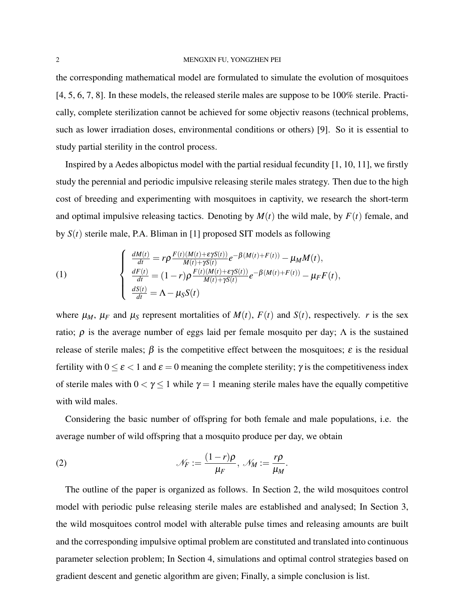#### 2 MENGXIN FU, YONGZHEN PEI

the corresponding mathematical model are formulated to simulate the evolution of mosquitoes [\[4,](#page-12-3) [5,](#page-12-4) [6,](#page-13-0) [7,](#page-13-1) [8\]](#page-13-2). In these models, the released sterile males are suppose to be 100% sterile. Practically, complete sterilization cannot be achieved for some objectiv reasons (technical problems, such as lower irradiation doses, environmental conditions or others) [\[9\]](#page-13-3). So it is essential to study partial sterility in the control process.

Inspired by a Aedes albopictus model with the partial residual fecundity [\[1,](#page-12-0) [10,](#page-13-4) [11\]](#page-13-5), we firstly study the perennial and periodic impulsive releasing sterile males strategy. Then due to the high cost of breeding and experimenting with mosquitoes in captivity, we research the short-term and optimal impulsive releasing tactics. Denoting by  $M(t)$  the wild male, by  $F(t)$  female, and by *S*(*t*) sterile male, P.A. Bliman in [\[1\]](#page-12-0) proposed SIT models as following

<span id="page-1-0"></span>(1)  

$$
\begin{cases}\n\frac{dM(t)}{dt} = r\rho \frac{F(t)(M(t) + \varepsilon \gamma S(t))}{M(t) + \gamma S(t)} e^{-\beta (M(t) + F(t))} - \mu_M M(t), \\
\frac{dF(t)}{dt} = (1 - r)\rho \frac{F(t)(M(t) + \varepsilon \gamma S(t))}{M(t) + \gamma S(t)} e^{-\beta (M(t) + F(t))} - \mu_F F(t), \\
\frac{dS(t)}{dt} = \Lambda - \mu_S S(t)\n\end{cases}
$$

where  $\mu_M$ ,  $\mu_F$  and  $\mu_S$  represent mortalities of  $M(t)$ ,  $F(t)$  and  $S(t)$ , respectively. *r* is the sex ratio;  $ρ$  is the average number of eggs laid per female mosquito per day;  $Λ$  is the sustained release of sterile males;  $\beta$  is the competitive effect between the mosquitoes;  $\varepsilon$  is the residual fertility with  $0 \le \varepsilon < 1$  and  $\varepsilon = 0$  meaning the complete sterility;  $\gamma$  is the competitiveness index of sterile males with  $0 < \gamma \le 1$  while  $\gamma = 1$  meaning sterile males have the equally competitive with wild males.

Considering the basic number of offspring for both female and male populations, i.e. the average number of wild offspring that a mosquito produce per day, we obtain

(2) 
$$
\mathcal{N}_F := \frac{(1-r)\rho}{\mu_F}, \ \mathcal{N}_M := \frac{r\rho}{\mu_M}.
$$

The outline of the paper is organized as follows. In Section 2, the wild mosquitoes control model with periodic pulse releasing sterile males are established and analysed; In Section 3, the wild mosquitoes control model with alterable pulse times and releasing amounts are built and the corresponding impulsive optimal problem are constituted and translated into continuous parameter selection problem; In Section 4, simulations and optimal control strategies based on gradient descent and genetic algorithm are given; Finally, a simple conclusion is list.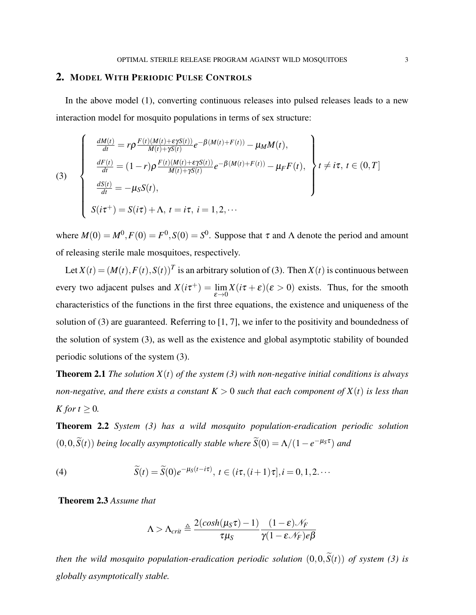### 2. MODEL WITH PERIODIC PULSE CONTROLS

<span id="page-2-0"></span>In the above model [\(1\)](#page-1-0), converting continuous releases into pulsed releases leads to a new interaction model for mosquito populations in terms of sex structure:

(3)  

$$
\begin{cases}\n\frac{dM(t)}{dt} = r\rho \frac{F(t)(M(t) + \varepsilon \gamma S(t))}{M(t) + \gamma S(t)} e^{-\beta (M(t) + F(t))} - \mu_M M(t), \\
\frac{dF(t)}{dt} = (1 - r)\rho \frac{F(t)(M(t) + \varepsilon \gamma S(t))}{M(t) + \gamma S(t)} e^{-\beta (M(t) + F(t))} - \mu_F F(t), \\
\frac{dS(t)}{dt} = -\mu_S S(t), \\
S(i\tau^+) = S(i\tau) + \Lambda, t = i\tau, i = 1, 2, \cdots\n\end{cases} t \neq i\tau, t \in (0, T]
$$

where  $M(0) = M^0, F(0) = F^0, S(0) = S^0$ . Suppose that  $\tau$  and  $\Lambda$  denote the period and amount of releasing sterile male mosquitoes, respectively.

Let  $X(t) = (M(t), F(t), S(t))^T$  is an arbitrary solution of [\(3\)](#page-2-0). Then  $X(t)$  is continuous between every two adjacent pulses and  $X(i\tau^+) = \lim_{\epsilon \to 0} X(i\tau + \epsilon)(\epsilon > 0)$  exists. Thus, for the smooth characteristics of the functions in the first three equations, the existence and uniqueness of the solution of [\(3\)](#page-2-0) are guaranteed. Referring to [\[1,](#page-12-0) [7\]](#page-13-1), we infer to the positivity and boundedness of the solution of system [\(3\)](#page-2-0), as well as the existence and global asymptotic stability of bounded periodic solutions of the system [\(3\)](#page-2-0).

**Theorem 2.1** *The solution*  $X(t)$  *of the system [\(3\)](#page-2-0)* with non-negative initial conditions is always *non-negative, and there exists a constant*  $K > 0$  *such that each component of*  $X(t)$  *is less than K for*  $t \geq 0$ *.* 

Theorem 2.2 *System [\(3\)](#page-2-0) has a wild mosquito population-eradication periodic solution*  $(0,0,\tilde{S}(t))$  *being locally asymptotically stable where*  $\tilde{S}(0) = \Lambda/(1-e^{-\mu_S \tau})$  *and* 

(4) 
$$
\widetilde{S}(t) = \widetilde{S}(0)e^{-\mu_S(t-i\tau)}, \ t \in (i\tau, (i+1)\tau], i = 0, 1, 2, \cdots
$$

Theorem 2.3 *Assume that*

$$
\Lambda > \Lambda_{crit} \triangleq \frac{2(cosh(\mu_S \tau) - 1)}{\tau \mu_S} \frac{(1 - \varepsilon) \mathcal{N}_F}{\gamma (1 - \varepsilon \mathcal{N}_F) e \beta}
$$

*then the wild mosquito population-eradication periodic solution*  $(0,0,\tilde{S}(t))$  *of system* [\(3\)](#page-2-0) *is globally asymptotically stable.*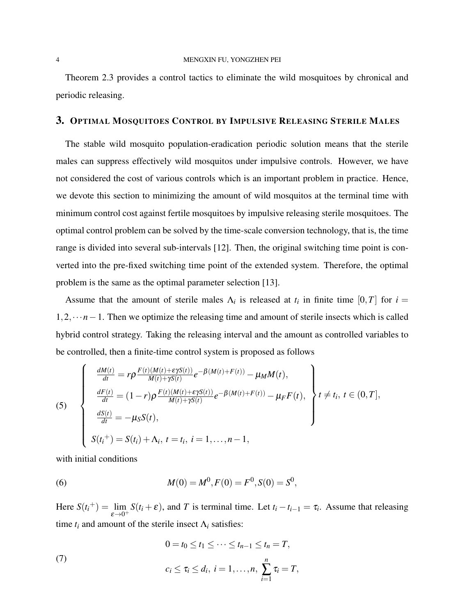Theorem 2.3 provides a control tactics to eliminate the wild mosquitoes by chronical and periodic releasing.

### 3. OPTIMAL MOSQUITOES CONTROL BY IMPULSIVE RELEASING STERILE MALES

The stable wild mosquito population-eradication periodic solution means that the sterile males can suppress effectively wild mosquitos under impulsive controls. However, we have not considered the cost of various controls which is an important problem in practice. Hence, we devote this section to minimizing the amount of wild mosquitos at the terminal time with minimum control cost against fertile mosquitoes by impulsive releasing sterile mosquitoes. The optimal control problem can be solved by the time-scale conversion technology, that is, the time range is divided into several sub-intervals [\[12\]](#page-13-6). Then, the original switching time point is converted into the pre-fixed switching time point of the extended system. Therefore, the optimal problem is the same as the optimal parameter selection [\[13\]](#page-13-7).

Assume that the amount of sterile males  $\Lambda_i$  is released at  $t_i$  in finite time  $[0,T]$  for  $i =$ 1,2,···*n*−1. Then we optimize the releasing time and amount of sterile insects which is called hybrid control strategy. Taking the releasing interval and the amount as controlled variables to be controlled, then a finite-time control system is proposed as follows

<span id="page-3-0"></span>(5)  
\n
$$
\begin{cases}\n\frac{dM(t)}{dt} = r\rho \frac{F(t)(M(t) + \varepsilon\gamma S(t))}{M(t) + \gamma S(t)} e^{-\beta(M(t) + F(t))} - \mu_M M(t), \\
\frac{dF(t)}{dt} = (1 - r)\rho \frac{F(t)(M(t) + \varepsilon\gamma S(t))}{M(t) + \gamma S(t)} e^{-\beta(M(t) + F(t))} - \mu_F F(t), \\
\frac{dS(t)}{dt} = -\mu_S S(t), \\
S(t_i^+) = S(t_i) + \Lambda_i, t = t_i, i = 1, ..., n - 1,\n\end{cases} t \neq t_i, t \in (0, T],
$$

<span id="page-3-1"></span>with initial conditions

(6) 
$$
M(0) = M^{0}, F(0) = F^{0}, S(0) = S^{0},
$$

<span id="page-3-2"></span>Here  $S(t_i^+) = \lim_{h \to 0}$  $\lim_{\varepsilon \to 0^+} S(t_i + \varepsilon)$ , and *T* is terminal time. Let  $t_i - t_{i-1} = \tau_i$ . Assume that releasing time  $t_i$  and amount of the sterile insect  $\Lambda_i$  satisfies:

(7) 
$$
0 = t_0 \le t_1 \le \dots \le t_{n-1} \le t_n = T,
$$

$$
c_i \le \tau_i \le d_i, i = 1, ..., n, \sum_{i=1}^n \tau_i = T,
$$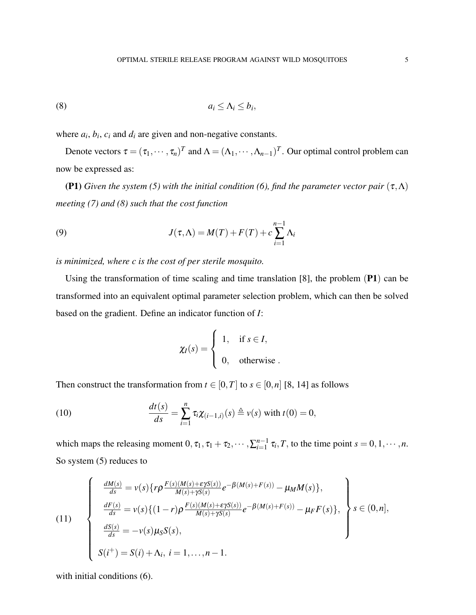<span id="page-4-0"></span>
$$
(8) \t a_i \leq \Lambda_i \leq b_i,
$$

where  $a_i$ ,  $b_i$ ,  $c_i$  and  $d_i$  are given and non-negative constants.

Denote vectors  $\tau = (\tau_1, \dots, \tau_n)^T$  and  $\Lambda = (\Lambda_1, \dots, \Lambda_{n-1})^T$ . Our optimal control problem can now be expressed as:

**(P1)** *Given the system [\(5\)](#page-3-0)* with the initial condition [\(6\)](#page-3-1), find the parameter vector pair  $(\tau, \Lambda)$ *meeting [\(7\)](#page-3-2) and [\(8\)](#page-4-0) such that the cost function*

(9) 
$$
J(\tau,\Lambda) = M(T) + F(T) + c \sum_{i=1}^{n-1} \Lambda_i
$$

*is minimized, where c is the cost of per sterile mosquito.*

Using the transformation of time scaling and time translation [\[8\]](#page-13-2), the problem (P1) can be transformed into an equivalent optimal parameter selection problem, which can then be solved based on the gradient. Define an indicator function of *I*:

<span id="page-4-3"></span><span id="page-4-1"></span>
$$
\chi_I(s) = \begin{cases} 1, & \text{if } s \in I, \\ 0, & \text{otherwise} \end{cases}
$$

Then construct the transformation from  $t \in [0, T]$  to  $s \in [0, n]$  [\[8,](#page-13-2) [14\]](#page-13-8) as follows

(10) 
$$
\frac{dt(s)}{ds} = \sum_{i=1}^{n} \tau_i \chi_{(i-1,i)}(s) \triangleq v(s) \text{ with } t(0) = 0,
$$

<span id="page-4-2"></span>which maps the releasing moment  $0, \tau_1, \tau_1 + \tau_2, \dots, \sum_{i=1}^{n-1}$  $^{n-1}_{i=1}$   $\tau_i$ , *T*, to the time point  $s = 0, 1, \dots, n$ . So system [\(5\)](#page-3-0) reduces to

(11)  
\n
$$
\begin{cases}\n\frac{dM(s)}{ds} = v(s) \{ r \rho \frac{F(s)(M(s) + \varepsilon \gamma S(s))}{M(s) + \gamma S(s)} e^{-\beta (M(s) + F(s))} - \mu_M M(s) \}, \\
\frac{dF(s)}{ds} = v(s) \{ (1 - r) \rho \frac{F(s)(M(s) + \varepsilon \gamma S(s))}{M(s) + \gamma S(s)} e^{-\beta (M(s) + F(s))} - \mu_F F(s) \}, \\
\frac{dS(s)}{ds} = -v(s) \mu_S S(s), \\
S(i^+) = S(i) + \Lambda_i, \ i = 1, ..., n - 1.\n\end{cases}
$$

with initial conditions  $(6)$ .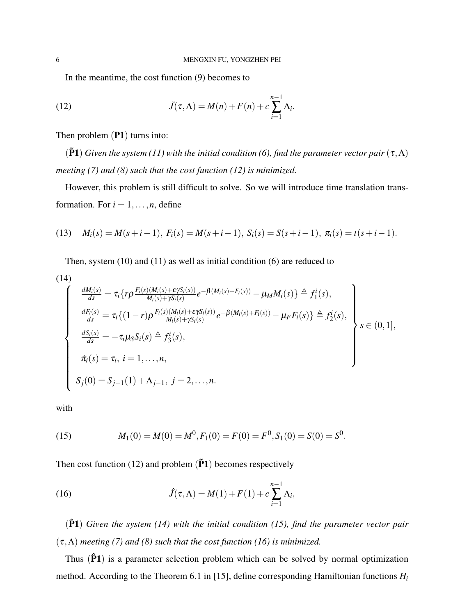<span id="page-5-0"></span>In the meantime, the cost function [\(9\)](#page-4-1) becomes to

(12) 
$$
\tilde{J}(\tau,\Lambda) = M(n) + F(n) + c \sum_{i=1}^{n-1} \Lambda_i.
$$

Then problem (P1) turns into:

 $(\tilde{P}1)$  *Given the system [\(11\)](#page-4-2)* with the initial condition [\(6\)](#page-3-1), find the parameter vector pair  $(\tau, \Lambda)$ *meeting [\(7\)](#page-3-2) and [\(8\)](#page-4-0) such that the cost function [\(12\)](#page-5-0) is minimized.*

However, this problem is still difficult to solve. So we will introduce time translation transformation. For  $i = 1, \ldots, n$ , define

(13) 
$$
M_i(s) = M(s+i-1), F_i(s) = M(s+i-1), S_i(s) = S(s+i-1), \pi_i(s) = t(s+i-1).
$$

<span id="page-5-1"></span>Then, system [\(10\)](#page-4-3) and [\(11\)](#page-4-2) as well as initial condition [\(6\)](#page-3-1) are reduced to

(14)  
\n
$$
\frac{dM_i(s)}{ds} = \tau_i \{ r \rho \frac{F_i(s)(M_i(s) + \epsilon \gamma S_i(s))}{M_i(s) + \gamma S_i(s)} e^{-\beta (M_i(s) + F_i(s))} - \mu_M M_i(s) \} \triangleq f_1^i(s),
$$
\n
$$
\frac{dF_i(s)}{ds} = \tau_i \{ (1 - r) \rho \frac{F_i(s)(M_i(s) + \epsilon \gamma S_i(s))}{M_i(s) + \gamma S_i(s)} e^{-\beta (M_i(s) + F_i(s))} - \mu_F F_i(s) \} \triangleq f_2^i(s),
$$
\n
$$
\frac{dS_i(s)}{ds} = -\tau_i \mu_S S_i(s) \triangleq f_3^i(s),
$$
\n
$$
\tilde{\pi}_i(s) = \tau_i, \ i = 1, ..., n,
$$
\n
$$
S_j(0) = S_{j-1}(1) + \Lambda_{j-1}, \ j = 2, ..., n.
$$

<span id="page-5-2"></span>with

<span id="page-5-3"></span>(15) 
$$
M_1(0) = M(0) = M^0, F_1(0) = F(0) = F^0, S_1(0) = S(0) = S^0.
$$

Then cost function [\(12\)](#page-5-0) and problem  $(\tilde{P}1)$  becomes respectively

(16) 
$$
\hat{J}(\tau,\Lambda) = M(1) + F(1) + c \sum_{i=1}^{n-1} \Lambda_i,
$$

(P1ˆ ) *Given the system [\(14\)](#page-5-1) with the initial condition [\(15\)](#page-5-2), find the parameter vector pair*  $(\tau, \Lambda)$  *meeting* (*7*) *and* (*8*) *such that the cost function* (*16) is minimized.* 

Thus  $(\hat{P}1)$  is a parameter selection problem which can be solved by normal optimization method. According to the Theorem 6.1 in [\[15\]](#page-13-9), define corresponding Hamiltonian functions *H<sup>i</sup>*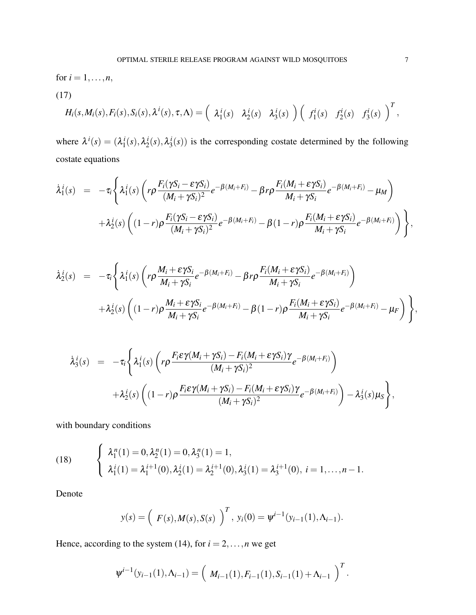<span id="page-6-0"></span>for  $i = 1, ..., n$ , (17)  $H_i(s, M_i(s), F_i(s), S_i(s), \lambda^i(s), \tau, \Lambda) = \left( \begin{array}{c} \lambda_1^i \end{array} \right)$  $\lambda_1^i(s)$   $\lambda_2^i$  $i_2^i(s)$   $\lambda_3^i$  $\binom{i}{3}(s)$   $\binom{f_1^i}{k}$ 

where  $\lambda^{i}(s) = (\lambda_1^{i})$  $\frac{i}{1}(s), \lambda_2^i$  $i_2^i(s), \lambda_3^i$  $\mathbf{z}_3^t(s)$ ) is the corresponding costate determined by the following costate equations

$$
\dot{\lambda}_{1}^{i}(s) = -\tau_{i} \Bigg\{ \lambda_{1}^{i}(s) \left( r \rho \frac{F_{i}(\gamma S_{i} - \varepsilon \gamma S_{i})}{(M_{i} + \gamma S_{i})^{2}} e^{-\beta(M_{i} + F_{i})} - \beta r \rho \frac{F_{i}(M_{i} + \varepsilon \gamma S_{i})}{M_{i} + \gamma S_{i}} e^{-\beta(M_{i} + F_{i})} - \mu_{M} \right) \n+ \lambda_{2}^{i}(s) \left( (1 - r) \rho \frac{F_{i}(\gamma S_{i} - \varepsilon \gamma S_{i})}{(M_{i} + \gamma S_{i})^{2}} e^{-\beta(M_{i} + F_{i})} - \beta (1 - r) \rho \frac{F_{i}(M_{i} + \varepsilon \gamma S_{i})}{M_{i} + \gamma S_{i}} e^{-\beta(M_{i} + F_{i})} \right) \Bigg\},
$$

$$
\dot{\lambda}_2^i(s) = -\tau_i \Bigg\{ \lambda_1^i(s) \left( r \rho \frac{M_i + \varepsilon \gamma S_i}{M_i + \gamma S_i} e^{-\beta (M_i + F_i)} - \beta r \rho \frac{F_i(M_i + \varepsilon \gamma S_i)}{M_i + \gamma S_i} e^{-\beta (M_i + F_i)} \right) \n+ \lambda_2^i(s) \left( (1 - r) \rho \frac{M_i + \varepsilon \gamma S_i}{M_i + \gamma S_i} e^{-\beta (M_i + F_i)} - \beta (1 - r) \rho \frac{F_i(M_i + \varepsilon \gamma S_i)}{M_i + \gamma S_i} e^{-\beta (M_i + F_i)} - \mu_F \right) \Bigg\},
$$

$$
\dot{\lambda}_{3}^{i}(s) = -\tau_{i} \Bigg\{ \lambda_{1}^{i}(s) \left( r \rho \frac{F_{i} \varepsilon \gamma(M_{i} + \gamma S_{i}) - F_{i}(M_{i} + \varepsilon \gamma S_{i}) \gamma}{(M_{i} + \gamma S_{i})^{2}} e^{-\beta(M_{i} + F_{i})} \right) \n+ \lambda_{2}^{i}(s) \left( (1 - r) \rho \frac{F_{i} \varepsilon \gamma(M_{i} + \gamma S_{i}) - F_{i}(M_{i} + \varepsilon \gamma S_{i}) \gamma}{(M_{i} + \gamma S_{i})^{2}} e^{-\beta(M_{i} + F_{i})} \right) - \lambda_{3}^{i}(s) \mu_{S} \Bigg\},\
$$

with boundary conditions

(18) 
$$
\begin{cases} \lambda_1^n(1) = 0, \lambda_2^n(1) = 0, \lambda_3^n(1) = 1, \\ \lambda_1^i(1) = \lambda_1^{i+1}(0), \lambda_2^i(1) = \lambda_2^{i+1}(0), \lambda_3^i(1) = \lambda_3^{i+1}(0), i = 1, ..., n-1. \end{cases}
$$

Denote

$$
y(s) = (F(s), M(s), S(s))^{T}
$$
,  $y_i(0) = \psi^{i-1}(y_{i-1}(1), \Lambda_{i-1}).$ 

Hence, according to the system [\(14\)](#page-5-1), for  $i = 2, ..., n$  we get

$$
\psi^{i-1}(y_{i-1}(1), \Lambda_{i-1}) = \left(M_{i-1}(1), F_{i-1}(1), S_{i-1}(1) + \Lambda_{i-1}\right)^T.
$$

 $f_1^i(s)$   $f_2^i$ 

 $f_2^i(s)$   $f_3^i$ 

 $\frac{r i}{3}(s)$   $\Big)^T$ ,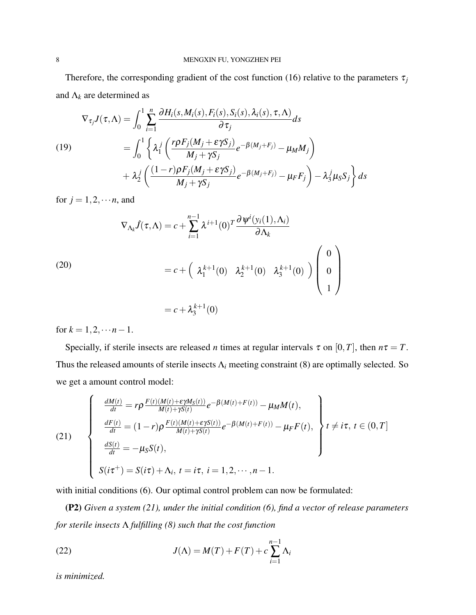Therefore, the corresponding gradient of the cost function [\(16\)](#page-5-3) relative to the parameters  $\tau_i$ and  $\Lambda_k$  are determined as

$$
\nabla_{\tau_j} J(\tau, \Lambda) = \int_0^1 \sum_{i=1}^n \frac{\partial H_i(s, M_i(s), F_i(s), S_i(s), \lambda_i(s), \tau, \Lambda)}{\partial \tau_j} ds
$$
  
(19)  

$$
= \int_0^1 \left\{ \lambda_1^j \left( \frac{r \rho F_j(M_j + \epsilon \gamma S_j)}{M_j + \gamma S_j} e^{-\beta(M_j + F_j)} - \mu_M M_j \right) + \lambda_2^j \left( \frac{(1 - r) \rho F_j(M_j + \epsilon \gamma S_j)}{M_j + \gamma S_j} e^{-\beta(M_j + F_j)} - \mu_F F_j \right) - \lambda_3^j \mu_S S_j \right\} ds
$$

for  $j = 1, 2, \dots n$ , and

(20)  
\n
$$
\nabla_{\Lambda_k} \hat{J}(\tau, \Lambda) = c + \sum_{i=1}^{n-1} \lambda^{i+1} (0)^T \frac{\partial \psi^i(y_i(1), \Lambda_i)}{\partial \Lambda_k}
$$
\n
$$
= c + \left( \lambda_1^{k+1} (0) \lambda_2^{k+1} (0) \lambda_3^{k+1} (0) \right) \begin{pmatrix} 0 \\ 0 \\ 1 \end{pmatrix}
$$
\n
$$
= c + \lambda_3^{k+1} (0)
$$

for  $k = 1, 2, \cdots n-1$ .

Specially, if sterile insects are released *n* times at regular intervals  $\tau$  on [0,*T*], then  $n\tau = T$ . Thus the released amounts of sterile insects  $\Lambda_i$  meeting constraint [\(8\)](#page-4-0) are optimally selected. So we get a amount control model:

<span id="page-7-0"></span>(21)  

$$
\begin{cases}\n\frac{dM(t)}{dt} = r\rho \frac{F(t)(M(t) + \varepsilon \gamma M_S(t))}{M(t) + \gamma S(t)} e^{-\beta (M(t) + F(t))} - \mu_M M(t), \\
\frac{dF(t)}{dt} = (1 - r)\rho \frac{F(t)(M(t) + \varepsilon \gamma S(t))}{M(t) + \gamma S(t)} e^{-\beta (M(t) + F(t))} - \mu_F F(t), \\
\frac{dS(t)}{dt} = -\mu_S S(t), \\
S(i\tau^+) = S(i\tau) + \Lambda_i, t = i\tau, i = 1, 2, \dots, n - 1.\n\end{cases}
$$

with initial conditions [\(6\)](#page-3-1). Our optimal control problem can now be formulated:

(P2) *Given a system [\(21\)](#page-7-0), under the initial condition [\(6\)](#page-3-1), find a vector of release parameters for sterile insects* Λ *fulfilling [\(8\)](#page-4-0) such that the cost function*

(22) 
$$
J(\Lambda) = M(T) + F(T) + c \sum_{i=1}^{n-1} \Lambda_i
$$

*is minimized.*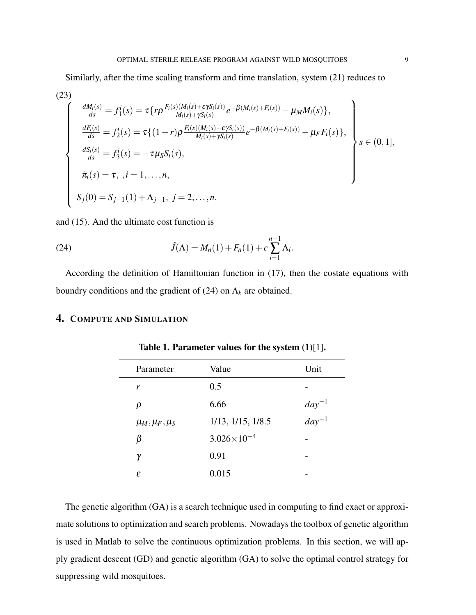Similarly, after the time scaling transform and time translation, system [\(21\)](#page-7-0) reduces to

(23)  
\n
$$
\frac{dM_i(s)}{ds} = f_1^i(s) = \tau \{ r \rho \frac{F_i(s)(M_i(s) + \epsilon \gamma S_i(s))}{M_i(s) + \gamma S_i(s)} e^{-\beta(M_i(s) + F_i(s))} - \mu_M M_i(s) \},
$$
\n
$$
\frac{dF_i(s)}{ds} = f_2^i(s) = \tau \{ (1 - r) \rho \frac{F_i(s)(M_i(s) + \epsilon \gamma S_i(s))}{M_i(s) + \gamma S_i(s)} e^{-\beta(M_i(s) + F_i(s))} - \mu_F F_i(s) \},
$$
\n
$$
\frac{dS_i(s)}{ds} = f_3^i(s) = -\tau \mu_S S_i(s),
$$
\n
$$
\pi_i(s) = \tau, \quad i = 1, ..., n,
$$
\n
$$
S_j(0) = S_{j-1}(1) + \Lambda_{j-1}, \quad j = 2, ..., n.
$$

and [\(15\)](#page-5-2). And the ultimate cost function is

(24) 
$$
\hat{J}(\Lambda) = M_n(1) + F_n(1) + c \sum_{i=1}^{n-1} \Lambda_i.
$$

According the definition of Hamiltonian function in [\(17\)](#page-6-0), then the costate equations with boundry conditions and the gradient of [\(24\)](#page-8-0) on Λ*<sup>k</sup>* are obtained.

# 4. COMPUTE AND SIMULATION

| Parameter             | Value                     | Unit       |
|-----------------------|---------------------------|------------|
| r                     | 0.5                       |            |
| ρ                     | 6.66                      | $day^{-1}$ |
| $\mu_M, \mu_F, \mu_S$ | $1/13$ , $1/15$ , $1/8.5$ | $day^{-1}$ |
| B                     | $3.026 \times 10^{-4}$    |            |
| γ                     | 0.91                      |            |
| ε                     | 0.015                     |            |

<span id="page-8-0"></span>Table 1. Parameter values for the system [\(1\)](#page-1-0)[\[1\]](#page-12-0).

The genetic algorithm (GA) is a search technique used in computing to find exact or approximate solutions to optimization and search problems. Nowadays the toolbox of genetic algorithm is used in Matlab to solve the continuous optimization problems. In this section, we will apply gradient descent (GD) and genetic algorithm (GA) to solve the optimal control strategy for suppressing wild mosquitoes.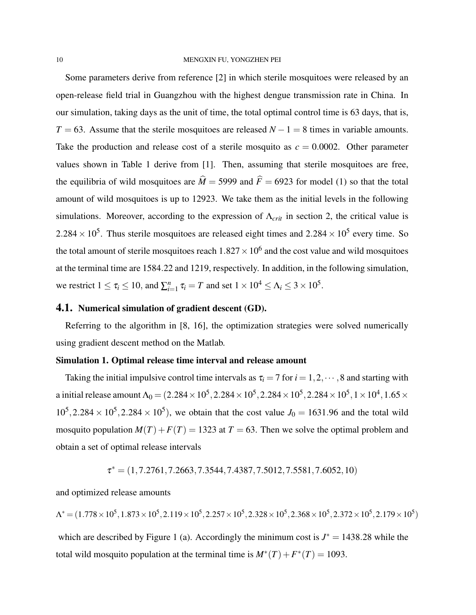Some parameters derive from reference [\[2\]](#page-12-1) in which sterile mosquitoes were released by an open-release field trial in Guangzhou with the highest dengue transmission rate in China. In our simulation, taking days as the unit of time, the total optimal control time is 63 days, that is,  $T = 63$ . Assume that the sterile mosquitoes are released  $N - 1 = 8$  times in variable amounts. Take the production and release cost of a sterile mosquito as  $c = 0.0002$ . Other parameter values shown in Table 1 derive from [\[1\]](#page-12-0). Then, assuming that sterile mosquitoes are free, the equilibria of wild mosquitoes are  $\hat{M} = 5999$  and  $\hat{F} = 6923$  for model [\(1\)](#page-1-0) so that the total amount of wild mosquitoes is up to 12923. We take them as the initial levels in the following simulations. Moreover, according to the expression of  $\Lambda_{crit}$  in section 2, the critical value is  $2.284 \times 10^5$ . Thus sterile mosquitoes are released eight times and  $2.284 \times 10^5$  every time. So the total amount of sterile mosquitoes reach  $1.827 \times 10^6$  and the cost value and wild mosquitoes at the terminal time are 1584.22 and 1219, respectively. In addition, in the following simulation, we restrict  $1 \le \tau_i \le 10$ , and  $\sum_{i=1}^n \tau_i = T$  and set  $1 \times 10^4 \le \Lambda_i \le 3 \times 10^5$ .

## 4.1. Numerical simulation of gradient descent (GD).

Referring to the algorithm in [\[8,](#page-13-2) [16\]](#page-13-10), the optimization strategies were solved numerically using gradient descent method on the Matlab.

### Simulation 1. Optimal release time interval and release amount

Taking the initial impulsive control time intervals as  $\tau_i = 7$  for  $i = 1, 2, \dots, 8$  and starting with a initial release amount  $\Lambda_0$   $=$   $(2.284\times10^5, 2.284\times10^5, 2.284\times10^5, 2.284\times10^5, 1\times10^4, 1.65\times$  $10^5$ , 2.284 ×  $10^5$ , 2.284 ×  $10^5$ ), we obtain that the cost value  $J_0 = 1631.96$  and the total wild mosquito population  $M(T) + F(T) = 1323$  at  $T = 63$ . Then we solve the optimal problem and obtain a set of optimal release intervals

$$
\tau^* = (1, 7.2761, 7.2663, 7.3544, 7.4387, 7.5012, 7.5581, 7.6052, 10)
$$

and optimized release amounts

$$
\Lambda^* = (1.778 \times 10^5, 1.873 \times 10^5, 2.119 \times 10^5, 2.257 \times 10^5, 2.328 \times 10^5, 2.368 \times 10^5, 2.372 \times 10^5, 2.179 \times 10^5)
$$

which are described by Figure 1 (a). Accordingly the minimum cost is  $J^* = 1438.28$  while the total wild mosquito population at the terminal time is  $M^*(T) + F^*(T) = 1093$ .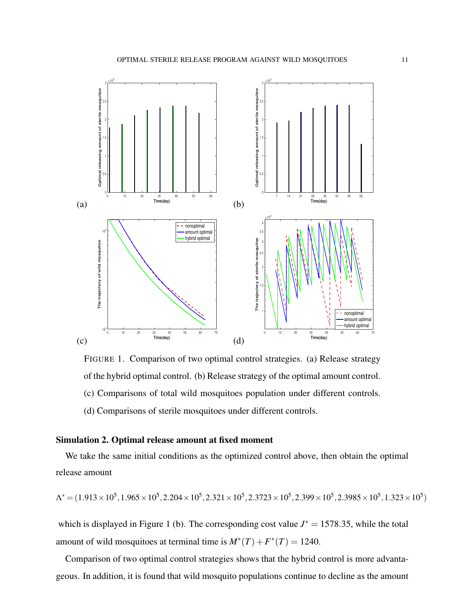

FIGURE 1. Comparison of two optimal control strategies. (a) Release strategy of the hybrid optimal control. (b) Release strategy of the optimal amount control. (c) Comparisons of total wild mosquitoes population under different controls. (d) Comparisons of sterile mosquitoes under different controls.

### Simulation 2. Optimal release amount at fixed moment

We take the same initial conditions as the optimized control above, then obtain the optimal release amount

$$
\Lambda^* = (1.913 \times 10^5, 1.965 \times 10^5, 2.204 \times 10^5, 2.321 \times 10^5, 2.3723 \times 10^5, 2.399 \times 10^5, 2.3985 \times 10^5, 1.323 \times 10^5)
$$

which is displayed in Figure 1 (b). The corresponding cost value  $J^* = 1578.35$ , while the total amount of wild mosquitoes at terminal time is  $M^*(T) + F^*(T) = 1240$ .

Comparison of two optimal control strategies shows that the hybrid control is more advantageous. In addition, it is found that wild mosquito populations continue to decline as the amount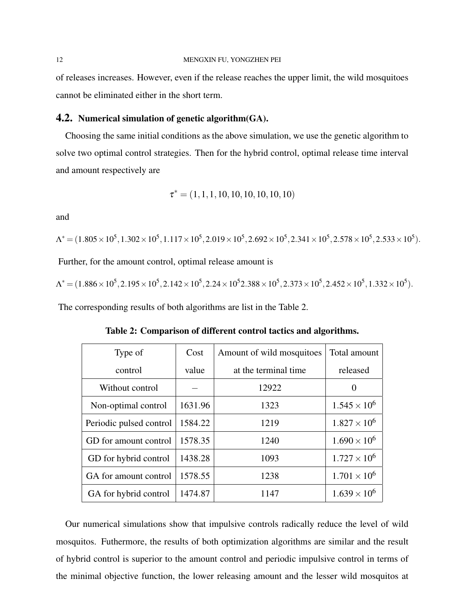of releases increases. However, even if the release reaches the upper limit, the wild mosquitoes cannot be eliminated either in the short term.

### **4.2.** Numerical simulation of genetic algorithm  $(A)$ .

Choosing the same initial conditions as the above simulation, we use the genetic algorithm to solve two optimal control strategies. Then for the hybrid control, optimal release time interval and amount respectively are

$$
\tau^* = (1,1,1,10,10,10,10,10,10)
$$

and

 $\Lambda^* = (1.805 \times 10^5, 1.302 \times 10^5, 1.117 \times 10^5, 2.019 \times 10^5, 2.692 \times 10^5, 2.341 \times 10^5, 2.578 \times 10^5, 2.533 \times 10^5)$ .

Further, for the amount control, optimal release amount is

 $\Lambda^* = (1.886 \times 10^5, 2.195 \times 10^5, 2.142 \times 10^5, 2.24 \times 10^5 2.388 \times 10^5, 2.373 \times 10^5, 2.452 \times 10^5, 1.332 \times 10^5).$ 

The corresponding results of both algorithms are list in the Table 2.

| Type of                 | Cost    | Amount of wild mosquitoes | Total amount          |
|-------------------------|---------|---------------------------|-----------------------|
| control                 | value   | at the terminal time.     | released              |
| Without control         |         | 12922                     | $\theta$              |
| Non-optimal control     | 1631.96 | 1323                      | $1.545 \times 10^{6}$ |
| Periodic pulsed control | 1584.22 | 1219                      | $1.827 \times 10^6$   |
| GD for amount control   | 1578.35 | 1240                      | $1.690 \times 10^{6}$ |
| GD for hybrid control   | 1438.28 | 1093                      | $1.727 \times 10^{6}$ |
| GA for amount control   | 1578.55 | 1238                      | $1.701 \times 10^6$   |
| GA for hybrid control   | 1474.87 | 1147                      | $1.639 \times 10^{6}$ |

Table 2: Comparison of different control tactics and algorithms.

Our numerical simulations show that impulsive controls radically reduce the level of wild mosquitos. Futhermore, the results of both optimization algorithms are similar and the result of hybrid control is superior to the amount control and periodic impulsive control in terms of the minimal objective function, the lower releasing amount and the lesser wild mosquitos at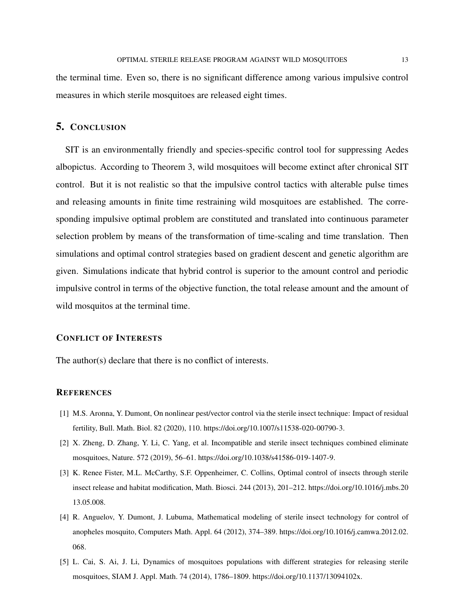the terminal time. Even so, there is no significant difference among various impulsive control measures in which sterile mosquitoes are released eight times.

# 5. CONCLUSION

SIT is an environmentally friendly and species-specific control tool for suppressing Aedes albopictus. According to Theorem 3, wild mosquitoes will become extinct after chronical SIT control. But it is not realistic so that the impulsive control tactics with alterable pulse times and releasing amounts in finite time restraining wild mosquitoes are established. The corresponding impulsive optimal problem are constituted and translated into continuous parameter selection problem by means of the transformation of time-scaling and time translation. Then simulations and optimal control strategies based on gradient descent and genetic algorithm are given. Simulations indicate that hybrid control is superior to the amount control and periodic impulsive control in terms of the objective function, the total release amount and the amount of wild mosquitos at the terminal time.

# CONFLICT OF INTERESTS

The author(s) declare that there is no conflict of interests.

### **REFERENCES**

- <span id="page-12-0"></span>[1] M.S. Aronna, Y. Dumont, On nonlinear pest/vector control via the sterile insect technique: Impact of residual fertility, Bull. Math. Biol. 82 (2020), 110. [https://doi.org/10.1007/s11538-020-00790-3.](https://doi.org/10.1007/s11538-020-00790-3)
- <span id="page-12-1"></span>[2] X. Zheng, D. Zhang, Y. Li, C. Yang, et al. Incompatible and sterile insect techniques combined eliminate mosquitoes, Nature. 572 (2019), 56–61. [https://doi.org/10.1038/s41586-019-1407-9.](https://doi.org/10.1038/s41586-019-1407-9)
- <span id="page-12-2"></span>[3] K. Renee Fister, M.L. McCarthy, S.F. Oppenheimer, C. Collins, Optimal control of insects through sterile insect release and habitat modification, Math. Biosci. 244 (2013), 201–212. [https://doi.org/10.1016/j.mbs.20](https://doi.org/10.1016/j.mbs.2013.05.008) [13.05.008.](https://doi.org/10.1016/j.mbs.2013.05.008)
- <span id="page-12-3"></span>[4] R. Anguelov, Y. Dumont, J. Lubuma, Mathematical modeling of sterile insect technology for control of anopheles mosquito, Computers Math. Appl. 64 (2012), 374–389. [https://doi.org/10.1016/j.camwa.2012.02.](https://doi.org/10.1016/j.camwa.2012.02.068) [068.](https://doi.org/10.1016/j.camwa.2012.02.068)
- <span id="page-12-4"></span>[5] L. Cai, S. Ai, J. Li, Dynamics of mosquitoes populations with different strategies for releasing sterile mosquitoes, SIAM J. Appl. Math. 74 (2014), 1786–1809. [https://doi.org/10.1137/13094102x.](https://doi.org/10.1137/13094102x)